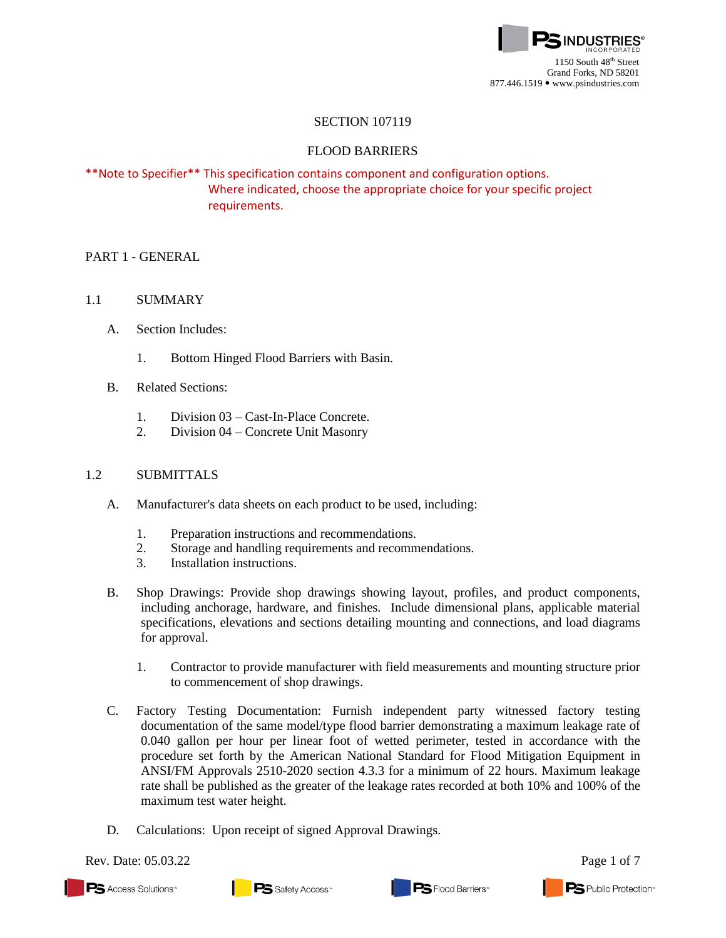

## SECTION 107119

## FLOOD BARRIERS

# \*\*Note to Specifier\*\* This specification contains component and configuration options. Where indicated, choose the appropriate choice for your specific project requirements.

## PART 1 - GENERAL

## 1.1 SUMMARY

- A. Section Includes:
	- 1. Bottom Hinged Flood Barriers with Basin.
- B. Related Sections:
	- 1. Division 03 Cast-In-Place Concrete.
	- 2. Division 04 Concrete Unit Masonry

## 1.2 SUBMITTALS

- A. Manufacturer's data sheets on each product to be used, including:
	- 1. Preparation instructions and recommendations.
	- 2. Storage and handling requirements and recommendations.
	- 3. Installation instructions.
- B. Shop Drawings: Provide shop drawings showing layout, profiles, and product components, including anchorage, hardware, and finishes. Include dimensional plans, applicable material specifications, elevations and sections detailing mounting and connections, and load diagrams for approval.
	- 1. Contractor to provide manufacturer with field measurements and mounting structure prior to commencement of shop drawings.
- C. Factory Testing Documentation: Furnish independent party witnessed factory testing documentation of the same model/type flood barrier demonstrating a maximum leakage rate of 0.040 gallon per hour per linear foot of wetted perimeter, tested in accordance with the procedure set forth by the American National Standard for Flood Mitigation Equipment in ANSI/FM Approvals 2510-2020 section 4.3.3 for a minimum of 22 hours. Maximum leakage rate shall be published as the greater of the leakage rates recorded at both 10% and 100% of the maximum test water height.
- D. Calculations: Upon receipt of signed Approval Drawings.

Rev. Date: 05.03.22 Page 1 of 7

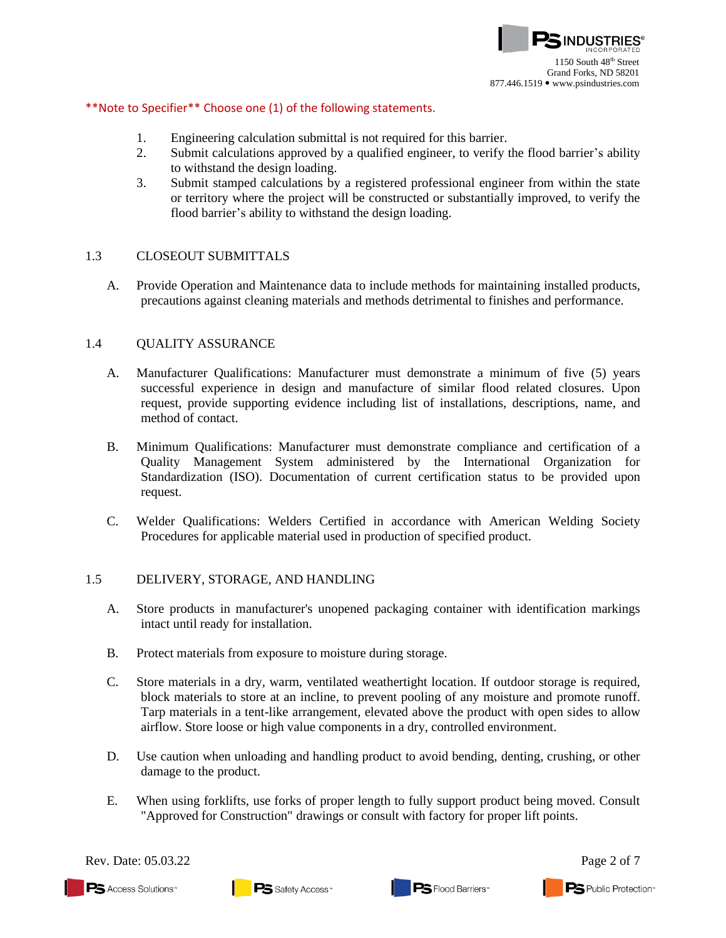

### \*\*Note to Specifier\*\* Choose one (1) of the following statements.

- 1. Engineering calculation submittal is not required for this barrier.
- 2. Submit calculations approved by a qualified engineer, to verify the flood barrier's ability to withstand the design loading.
- 3. Submit stamped calculations by a registered professional engineer from within the state or territory where the project will be constructed or substantially improved, to verify the flood barrier's ability to withstand the design loading.

### 1.3 CLOSEOUT SUBMITTALS

A. Provide Operation and Maintenance data to include methods for maintaining installed products, precautions against cleaning materials and methods detrimental to finishes and performance.

### 1.4 QUALITY ASSURANCE

- A. Manufacturer Qualifications: Manufacturer must demonstrate a minimum of five (5) years successful experience in design and manufacture of similar flood related closures. Upon request, provide supporting evidence including list of installations, descriptions, name, and method of contact.
- B. Minimum Qualifications: Manufacturer must demonstrate compliance and certification of a Quality Management System administered by the International Organization for Standardization (ISO). Documentation of current certification status to be provided upon request.
- C. Welder Qualifications: Welders Certified in accordance with American Welding Society Procedures for applicable material used in production of specified product.

### 1.5 DELIVERY, STORAGE, AND HANDLING

- A. Store products in manufacturer's unopened packaging container with identification markings intact until ready for installation.
- B. Protect materials from exposure to moisture during storage.
- C. Store materials in a dry, warm, ventilated weathertight location. If outdoor storage is required, block materials to store at an incline, to prevent pooling of any moisture and promote runoff. Tarp materials in a tent-like arrangement, elevated above the product with open sides to allow airflow. Store loose or high value components in a dry, controlled environment.
- D. Use caution when unloading and handling product to avoid bending, denting, crushing, or other damage to the product.
- E. When using forklifts, use forks of proper length to fully support product being moved. Consult "Approved for Construction" drawings or consult with factory for proper lift points.



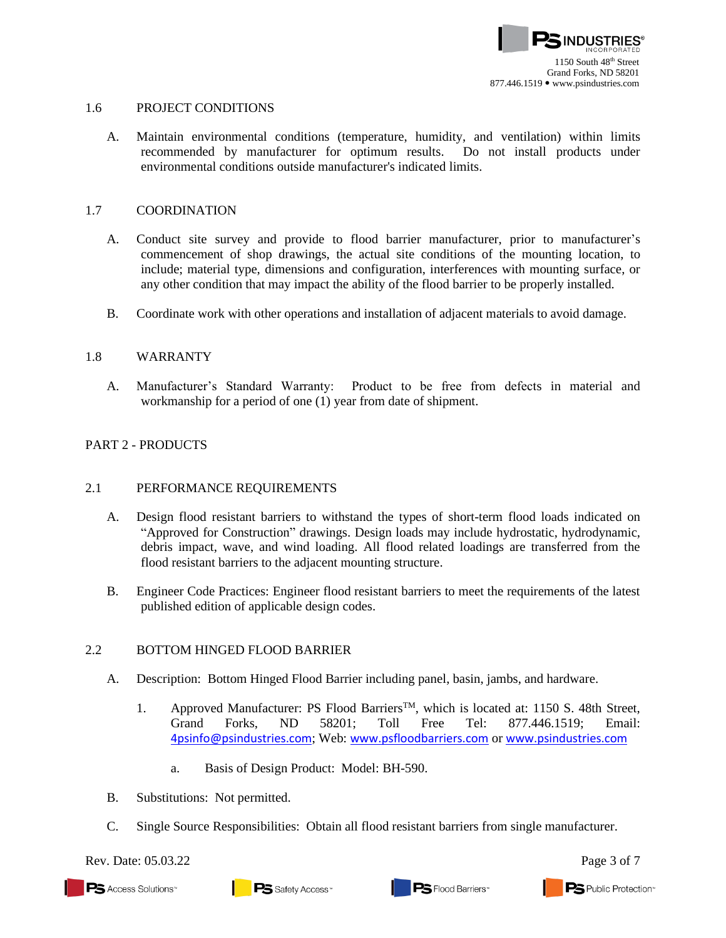

### 1.6 PROJECT CONDITIONS

A. Maintain environmental conditions (temperature, humidity, and ventilation) within limits recommended by manufacturer for optimum results. Do not install products under environmental conditions outside manufacturer's indicated limits.

### 1.7 COORDINATION

- A. Conduct site survey and provide to flood barrier manufacturer, prior to manufacturer's commencement of shop drawings, the actual site conditions of the mounting location, to include; material type, dimensions and configuration, interferences with mounting surface, or any other condition that may impact the ability of the flood barrier to be properly installed.
- B. Coordinate work with other operations and installation of adjacent materials to avoid damage.

### 1.8 WARRANTY

A. Manufacturer's Standard Warranty: Product to be free from defects in material and workmanship for a period of one (1) year from date of shipment.

### PART 2 - PRODUCTS

#### 2.1 PERFORMANCE REQUIREMENTS

- A. Design flood resistant barriers to withstand the types of short-term flood loads indicated on "Approved for Construction" drawings. Design loads may include hydrostatic, hydrodynamic, debris impact, wave, and wind loading. All flood related loadings are transferred from the flood resistant barriers to the adjacent mounting structure.
- B. Engineer Code Practices: Engineer flood resistant barriers to meet the requirements of the latest published edition of applicable design codes.

### 2.2 BOTTOM HINGED FLOOD BARRIER

- A. Description: Bottom Hinged Flood Barrier including panel, basin, jambs, and hardware.
	- 1. Approved Manufacturer: PS Flood BarriersTM, which is located at: 1150 S. 48th Street, Grand Forks, ND 58201; Toll Free Tel: 877.446.1519; Email: [4psinfo@psindustries.com](mailto:4psinfo@psindustries.com); Web: [www.psfloodbarriers.com](http://www.psfloodbarriers.com/) or [www.psindustries.com](http://www.psindustries.com/)
		- a. Basis of Design Product: Model: BH-590.
- B. Substitutions: Not permitted.
- C. Single Source Responsibilities: Obtain all flood resistant barriers from single manufacturer.

Rev. Date:  $05.03.22$  Page 3 of 7

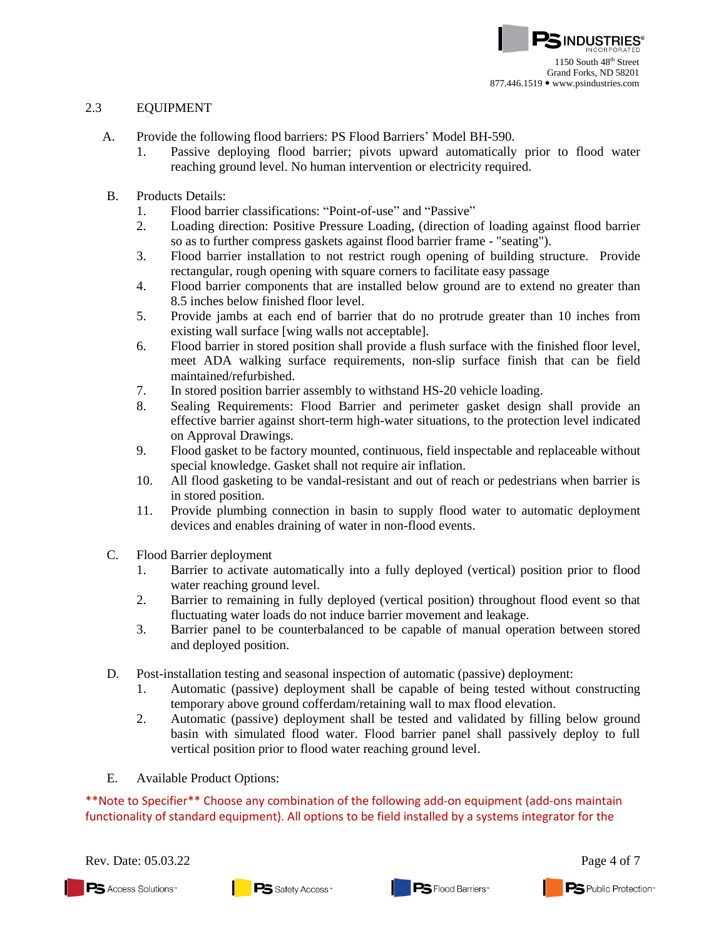## 2.3 EQUIPMENT

- A. Provide the following flood barriers: PS Flood Barriers' Model BH-590.
	- 1. Passive deploying flood barrier; pivots upward automatically prior to flood water reaching ground level. No human intervention or electricity required.
- B. Products Details:
	- 1. Flood barrier classifications: "Point-of-use" and "Passive"
	- 2. Loading direction: Positive Pressure Loading, (direction of loading against flood barrier so as to further compress gaskets against flood barrier frame - "seating").
	- 3. Flood barrier installation to not restrict rough opening of building structure. Provide rectangular, rough opening with square corners to facilitate easy passage
	- 4. Flood barrier components that are installed below ground are to extend no greater than 8.5 inches below finished floor level.
	- 5. Provide jambs at each end of barrier that do no protrude greater than 10 inches from existing wall surface [wing walls not acceptable].
	- 6. Flood barrier in stored position shall provide a flush surface with the finished floor level, meet ADA walking surface requirements, non-slip surface finish that can be field maintained/refurbished.
	- 7. In stored position barrier assembly to withstand HS-20 vehicle loading.
	- 8. Sealing Requirements: Flood Barrier and perimeter gasket design shall provide an effective barrier against short-term high-water situations, to the protection level indicated on Approval Drawings.
	- 9. Flood gasket to be factory mounted, continuous, field inspectable and replaceable without special knowledge. Gasket shall not require air inflation.
	- 10. All flood gasketing to be vandal-resistant and out of reach or pedestrians when barrier is in stored position.
	- 11. Provide plumbing connection in basin to supply flood water to automatic deployment devices and enables draining of water in non-flood events.
- C. Flood Barrier deployment
	- 1. Barrier to activate automatically into a fully deployed (vertical) position prior to flood water reaching ground level.
	- 2. Barrier to remaining in fully deployed (vertical position) throughout flood event so that fluctuating water loads do not induce barrier movement and leakage.
	- 3. Barrier panel to be counterbalanced to be capable of manual operation between stored and deployed position.
- D. Post-installation testing and seasonal inspection of automatic (passive) deployment:
	- 1. Automatic (passive) deployment shall be capable of being tested without constructing temporary above ground cofferdam/retaining wall to max flood elevation.
	- 2. Automatic (passive) deployment shall be tested and validated by filling below ground basin with simulated flood water. Flood barrier panel shall passively deploy to full vertical position prior to flood water reaching ground level.
- E. Available Product Options:

\*\*Note to Specifier\*\* Choose any combination of the following add-on equipment (add-ons maintain functionality of standard equipment). All options to be field installed by a systems integrator for the

Rev. Date: 05.03.22 Page 4 of 7

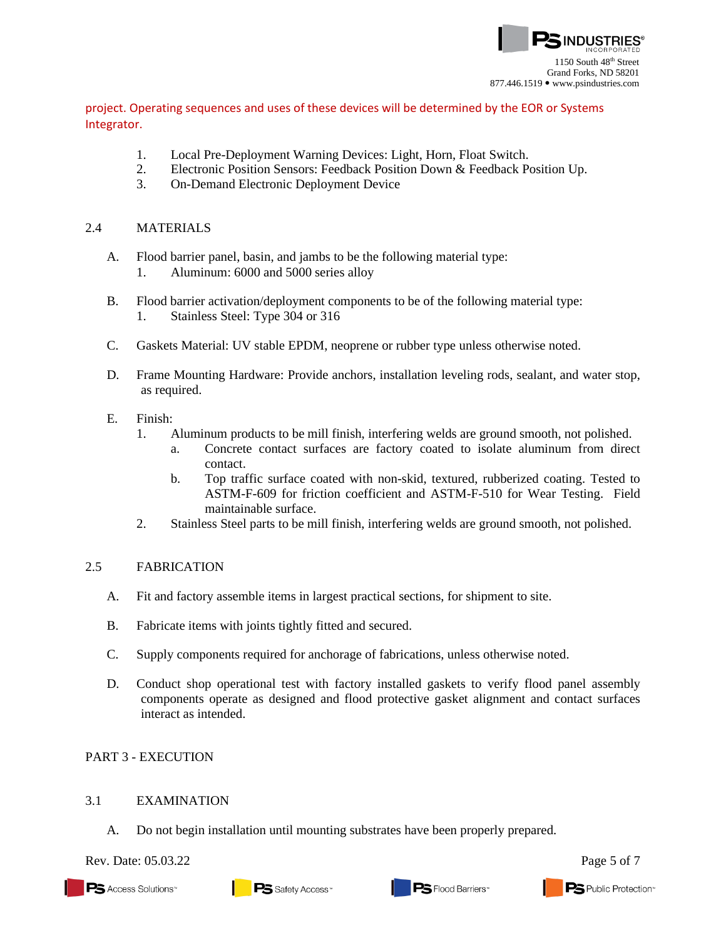

project. Operating sequences and uses of these devices will be determined by the EOR or Systems Integrator.

- 1. Local Pre-Deployment Warning Devices: Light, Horn, Float Switch.
- 2. Electronic Position Sensors: Feedback Position Down & Feedback Position Up.
- 3. On-Demand Electronic Deployment Device

#### 2.4 MATERIALS

- A. Flood barrier panel, basin, and jambs to be the following material type:
	- 1. Aluminum: 6000 and 5000 series alloy
- B. Flood barrier activation/deployment components to be of the following material type: 1. Stainless Steel: Type 304 or 316
- C. Gaskets Material: UV stable EPDM, neoprene or rubber type unless otherwise noted.
- D. Frame Mounting Hardware: Provide anchors, installation leveling rods, sealant, and water stop, as required.

### E. Finish:

- 1. Aluminum products to be mill finish, interfering welds are ground smooth, not polished.
	- a. Concrete contact surfaces are factory coated to isolate aluminum from direct contact.
	- b. Top traffic surface coated with non-skid, textured, rubberized coating. Tested to ASTM-F-609 for friction coefficient and ASTM-F-510 for Wear Testing. Field maintainable surface.
- 2. Stainless Steel parts to be mill finish, interfering welds are ground smooth, not polished.

### 2.5 FABRICATION

- A. Fit and factory assemble items in largest practical sections, for shipment to site.
- B. Fabricate items with joints tightly fitted and secured.
- C. Supply components required for anchorage of fabrications, unless otherwise noted.
- D. Conduct shop operational test with factory installed gaskets to verify flood panel assembly components operate as designed and flood protective gasket alignment and contact surfaces interact as intended.

### PART 3 - EXECUTION

### 3.1 EXAMINATION

A. Do not begin installation until mounting substrates have been properly prepared.

Rev. Date: 05.03.22 Page 5 of 7

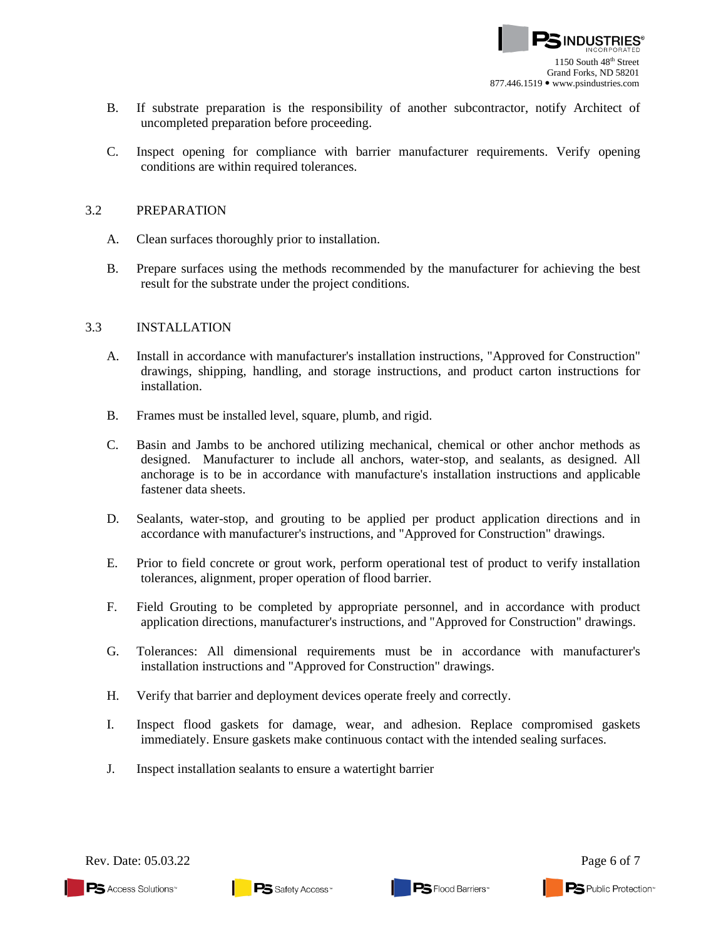

- B. If substrate preparation is the responsibility of another subcontractor, notify Architect of uncompleted preparation before proceeding.
- C. Inspect opening for compliance with barrier manufacturer requirements. Verify opening conditions are within required tolerances.

#### 3.2 PREPARATION

- A. Clean surfaces thoroughly prior to installation.
- B. Prepare surfaces using the methods recommended by the manufacturer for achieving the best result for the substrate under the project conditions.

### 3.3 INSTALLATION

- A. Install in accordance with manufacturer's installation instructions, "Approved for Construction" drawings, shipping, handling, and storage instructions, and product carton instructions for installation.
- B. Frames must be installed level, square, plumb, and rigid.
- C. Basin and Jambs to be anchored utilizing mechanical, chemical or other anchor methods as designed. Manufacturer to include all anchors, water-stop, and sealants, as designed. All anchorage is to be in accordance with manufacture's installation instructions and applicable fastener data sheets.
- D. Sealants, water-stop, and grouting to be applied per product application directions and in accordance with manufacturer's instructions, and "Approved for Construction" drawings.
- E. Prior to field concrete or grout work, perform operational test of product to verify installation tolerances, alignment, proper operation of flood barrier.
- F. Field Grouting to be completed by appropriate personnel, and in accordance with product application directions, manufacturer's instructions, and "Approved for Construction" drawings.
- G. Tolerances: All dimensional requirements must be in accordance with manufacturer's installation instructions and "Approved for Construction" drawings.
- H. Verify that barrier and deployment devices operate freely and correctly.
- I. Inspect flood gaskets for damage, wear, and adhesion. Replace compromised gaskets immediately. Ensure gaskets make continuous contact with the intended sealing surfaces.
- J. Inspect installation sealants to ensure a watertight barrier